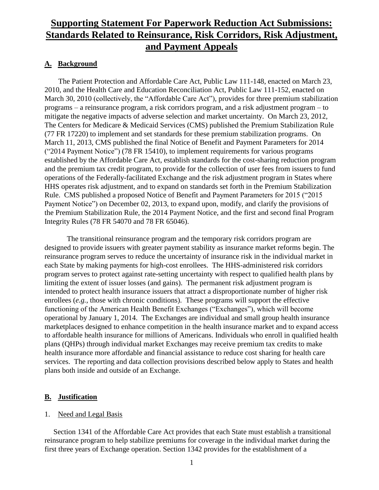#### **A. Background**

The Patient Protection and Affordable Care Act, Public Law 111-148, enacted on March 23, 2010, and the Health Care and Education Reconciliation Act, Public Law 111-152, enacted on March 30, 2010 (collectively, the "Affordable Care Act"), provides for three premium stabilization programs – a reinsurance program, a risk corridors program, and a risk adjustment program – to mitigate the negative impacts of adverse selection and market uncertainty. On March 23, 2012, The Centers for Medicare & Medicaid Services (CMS) published the Premium Stabilization Rule (77 FR 17220) to implement and set standards for these premium stabilization programs. On March 11, 2013, CMS published the final Notice of Benefit and Payment Parameters for 2014 ("2014 Payment Notice") (78 FR 15410), to implement requirements for various programs established by the Affordable Care Act, establish standards for the cost-sharing reduction program and the premium tax credit program, to provide for the collection of user fees from issuers to fund operations of the Federally-facilitated Exchange and the risk adjustment program in States where HHS operates risk adjustment, and to expand on standards set forth in the Premium Stabilization Rule. CMS published a proposed Notice of Benefit and Payment Parameters for 2015 ("2015 Payment Notice") on December 02, 2013, to expand upon, modify, and clarify the provisions of the Premium Stabilization Rule, the 2014 Payment Notice, and the first and second final Program Integrity Rules (78 FR 54070 and 78 FR 65046).

The transitional reinsurance program and the temporary risk corridors program are designed to provide issuers with greater payment stability as insurance market reforms begin. The reinsurance program serves to reduce the uncertainty of insurance risk in the individual market in each State by making payments for high-cost enrollees. The HHS-administered risk corridors program serves to protect against rate-setting uncertainty with respect to qualified health plans by limiting the extent of issuer losses (and gains). The permanent risk adjustment program is intended to protect health insurance issuers that attract a disproportionate number of higher risk enrollees (*e.g.*, those with chronic conditions). These programs will support the effective functioning of the American Health Benefit Exchanges ("Exchanges"), which will become operational by January 1, 2014. The Exchanges are individual and small group health insurance marketplaces designed to enhance competition in the health insurance market and to expand access to affordable health insurance for millions of Americans. Individuals who enroll in qualified health plans (QHPs) through individual market Exchanges may receive premium tax credits to make health insurance more affordable and financial assistance to reduce cost sharing for health care services. The reporting and data collection provisions described below apply to States and health plans both inside and outside of an Exchange.

#### **B. Justification**

#### 1. Need and Legal Basis

Section 1341 of the Affordable Care Act provides that each State must establish a transitional reinsurance program to help stabilize premiums for coverage in the individual market during the first three years of Exchange operation. Section 1342 provides for the establishment of a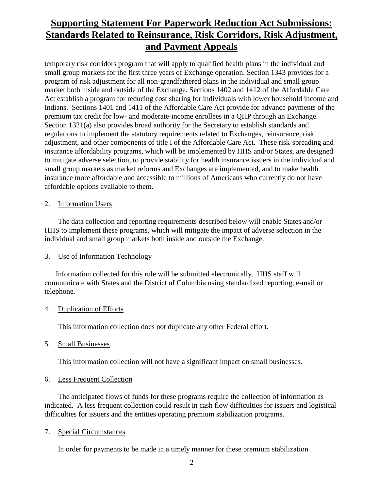temporary risk corridors program that will apply to qualified health plans in the individual and small group markets for the first three years of Exchange operation. Section 1343 provides for a program of risk adjustment for all non-grandfathered plans in the individual and small group market both inside and outside of the Exchange. Sections 1402 and 1412 of the Affordable Care Act establish a program for reducing cost sharing for individuals with lower household income and Indians. Sections 1401 and 1411 of the Affordable Care Act provide for advance payments of the premium tax credit for low- and moderate-income enrollees in a QHP through an Exchange. Section 1321(a) also provides broad authority for the Secretary to establish standards and regulations to implement the statutory requirements related to Exchanges, reinsurance, risk adjustment, and other components of title I of the Affordable Care Act. These risk-spreading and insurance affordability programs, which will be implemented by HHS and/or States, are designed to mitigate adverse selection, to provide stability for health insurance issuers in the individual and small group markets as market reforms and Exchanges are implemented, and to make health insurance more affordable and accessible to millions of Americans who currently do not have affordable options available to them.

#### 2. Information Users

The data collection and reporting requirements described below will enable States and/or HHS to implement these programs, which will mitigate the impact of adverse selection in the individual and small group markets both inside and outside the Exchange.

#### 3. Use of Information Technology

Information collected for this rule will be submitted electronically. HHS staff will communicate with States and the District of Columbia using standardized reporting, e-mail or telephone.

#### 4. Duplication of Efforts

This information collection does not duplicate any other Federal effort.

#### 5. Small Businesses

This information collection will not have a significant impact on small businesses.

#### 6. Less Frequent Collection

The anticipated flows of funds for these programs require the collection of information as indicated. A less frequent collection could result in cash flow difficulties for issuers and logistical difficulties for issuers and the entities operating premium stabilization programs.

#### 7. Special Circumstances

In order for payments to be made in a timely manner for these premium stabilization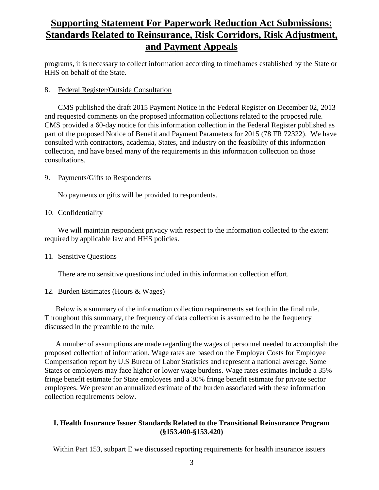programs, it is necessary to collect information according to timeframes established by the State or HHS on behalf of the State.

#### 8. Federal Register/Outside Consultation

CMS published the draft 2015 Payment Notice in the Federal Register on December 02, 2013 and requested comments on the proposed information collections related to the proposed rule. CMS provided a 60-day notice for this information collection in the Federal Register published as part of the proposed Notice of Benefit and Payment Parameters for 2015 (78 FR 72322). We have consulted with contractors, academia, States, and industry on the feasibility of this information collection, and have based many of the requirements in this information collection on those consultations.

#### 9. Payments/Gifts to Respondents

No payments or gifts will be provided to respondents.

#### 10. Confidentiality

We will maintain respondent privacy with respect to the information collected to the extent required by applicable law and HHS policies.

#### 11. Sensitive Questions

There are no sensitive questions included in this information collection effort.

#### 12. Burden Estimates (Hours & Wages)

Below is a summary of the information collection requirements set forth in the final rule. Throughout this summary, the frequency of data collection is assumed to be the frequency discussed in the preamble to the rule.

A number of assumptions are made regarding the wages of personnel needed to accomplish the proposed collection of information. Wage rates are based on the Employer Costs for Employee Compensation report by U.S Bureau of Labor Statistics and represent a national average. Some States or employers may face higher or lower wage burdens. Wage rates estimates include a 35% fringe benefit estimate for State employees and a 30% fringe benefit estimate for private sector employees. We present an annualized estimate of the burden associated with these information collection requirements below.

#### **I. Health Insurance Issuer Standards Related to the Transitional Reinsurance Program (§153.400-§153.420)**

Within Part 153, subpart E we discussed reporting requirements for health insurance issuers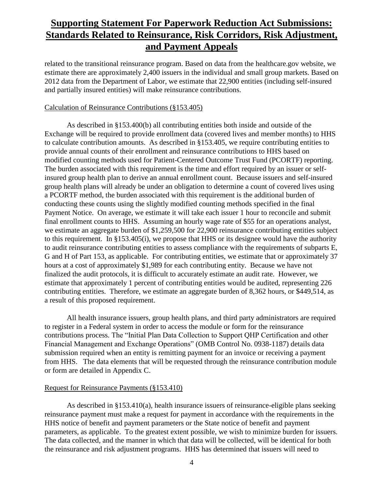related to the transitional reinsurance program. Based on data from the healthcare.gov website, we estimate there are approximately 2,400 issuers in the individual and small group markets. Based on 2012 data from the Department of Labor, we estimate that 22,900 entities (including self-insured and partially insured entities) will make reinsurance contributions.

#### Calculation of Reinsurance Contributions (§153.405)

As described in §153.400(b) all contributing entities both inside and outside of the Exchange will be required to provide enrollment data (covered lives and member months) to HHS to calculate contribution amounts. As described in §153.405, we require contributing entities to provide annual counts of their enrollment and reinsurance contributions to HHS based on modified counting methods used for Patient-Centered Outcome Trust Fund (PCORTF) reporting. The burden associated with this requirement is the time and effort required by an issuer or selfinsured group health plan to derive an annual enrollment count. Because issuers and self-insured group health plans will already be under an obligation to determine a count of covered lives using a PCORTF method, the burden associated with this requirement is the additional burden of conducting these counts using the slightly modified counting methods specified in the final Payment Notice. On average, we estimate it will take each issuer 1 hour to reconcile and submit final enrollment counts to HHS. Assuming an hourly wage rate of \$55 for an operations analyst, we estimate an aggregate burden of \$1,259,500 for 22,900 reinsurance contributing entities subject to this requirement. In §153.405(i), we propose that HHS or its designee would have the authority to audit reinsurance contributing entities to assess compliance with the requirements of subparts E, G and H of Part 153, as applicable. For contributing entities, we estimate that or approximately 37 hours at a cost of approximately \$1,989 for each contributing entity. Because we have not finalized the audit protocols, it is difficult to accurately estimate an audit rate. However, we estimate that approximately 1 percent of contributing entities would be audited, representing 226 contributing entities. Therefore, we estimate an aggregate burden of 8,362 hours, or \$449,514, as a result of this proposed requirement.

All health insurance issuers, group health plans, and third party administrators are required to register in a Federal system in order to access the module or form for the reinsurance contributions process. The "Initial Plan Data Collection to Support QHP Certification and other Financial Management and Exchange Operations" (OMB Control No. 0938-1187) details data submission required when an entity is remitting payment for an invoice or receiving a payment from HHS. The data elements that will be requested through the reinsurance contribution module or form are detailed in Appendix C.

#### Request for Reinsurance Payments (§153.410)

As described in §153.410(a), health insurance issuers of reinsurance-eligible plans seeking reinsurance payment must make a request for payment in accordance with the requirements in the HHS notice of benefit and payment parameters or the State notice of benefit and payment parameters, as applicable. To the greatest extent possible, we wish to minimize burden for issuers. The data collected, and the manner in which that data will be collected, will be identical for both the reinsurance and risk adjustment programs. HHS has determined that issuers will need to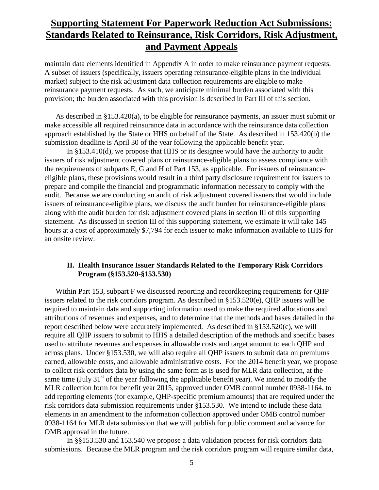maintain data elements identified in Appendix A in order to make reinsurance payment requests. A subset of issuers (specifically, issuers operating reinsurance-eligible plans in the individual market) subject to the risk adjustment data collection requirements are eligible to make reinsurance payment requests. As such, we anticipate minimal burden associated with this provision; the burden associated with this provision is described in Part III of this section.

As described in §153.420(a), to be eligible for reinsurance payments, an issuer must submit or make accessible all required reinsurance data in accordance with the reinsurance data collection approach established by the State or HHS on behalf of the State. As described in 153.420(b) the submission deadline is April 30 of the year following the applicable benefit year.

In §153.410(d), we propose that HHS or its designee would have the authority to audit issuers of risk adjustment covered plans or reinsurance-eligible plans to assess compliance with the requirements of subparts E, G and H of Part 153, as applicable. For issuers of reinsuranceeligible plans, these provisions would result in a third party disclosure requirement for issuers to prepare and compile the financial and programmatic information necessary to comply with the audit. Because we are conducting an audit of risk adjustment covered issuers that would include issuers of reinsurance-eligible plans, we discuss the audit burden for reinsurance-eligible plans along with the audit burden for risk adjustment covered plans in section III of this supporting statement. As discussed in section III of this supporting statement, we estimate it will take 145 hours at a cost of approximately \$7,794 for each issuer to make information available to HHS for an onsite review.

#### **II. Health Insurance Issuer Standards Related to the Temporary Risk Corridors Program (§153.520-§153.530)**

Within Part 153, subpart F we discussed reporting and recordkeeping requirements for QHP issuers related to the risk corridors program. As described in §153.520(e), QHP issuers will be required to maintain data and supporting information used to make the required allocations and attributions of revenues and expenses, and to determine that the methods and bases detailed in the report described below were accurately implemented. As described in §153.520(c), we will require all QHP issuers to submit to HHS a detailed description of the methods and specific bases used to attribute revenues and expenses in allowable costs and target amount to each QHP and across plans. Under §153.530, we will also require all QHP issuers to submit data on premiums earned, allowable costs, and allowable administrative costs. For the 2014 benefit year, we propose to collect risk corridors data by using the same form as is used for MLR data collection, at the same time (July  $31<sup>st</sup>$  of the year following the applicable benefit year). We intend to modify the MLR collection form for benefit year 2015, approved under OMB control number 0938-1164, to add reporting elements (for example, QHP-specific premium amounts) that are required under the risk corridors data submission requirements under §153.530. We intend to include these data elements in an amendment to the information collection approved under OMB control number 0938-1164 for MLR data submission that we will publish for public comment and advance for OMB approval in the future.

In §§153.530 and 153.540 we propose a data validation process for risk corridors data submissions. Because the MLR program and the risk corridors program will require similar data,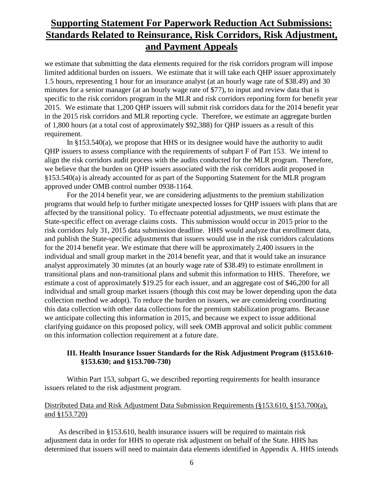we estimate that submitting the data elements required for the risk corridors program will impose limited additional burden on issuers. We estimate that it will take each QHP issuer approximately 1.5 hours, representing 1 hour for an insurance analyst (at an hourly wage rate of \$38.49) and 30 minutes for a senior manager (at an hourly wage rate of \$77), to input and review data that is specific to the risk corridors program in the MLR and risk corridors reporting form for benefit year 2015. We estimate that 1,200 QHP issuers will submit risk corridors data for the 2014 benefit year in the 2015 risk corridors and MLR reporting cycle. Therefore, we estimate an aggregate burden of 1,800 hours (at a total cost of approximately \$92,388) for QHP issuers as a result of this requirement.

In §153.540(a), we propose that HHS or its designee would have the authority to audit QHP issuers to assess compliance with the requirements of subpart F of Part 153. We intend to align the risk corridors audit process with the audits conducted for the MLR program. Therefore, we believe that the burden on QHP issuers associated with the risk corridors audit proposed in §153.540(a) is already accounted for as part of the Supporting Statement for the MLR program approved under OMB control number 0938-1164.

For the 2014 benefit year, we are considering adjustments to the premium stabilization programs that would help to further mitigate unexpected losses for QHP issuers with plans that are affected by the transitional policy. To effectuate potential adjustments, we must estimate the State-specific effect on average claims costs. This submission would occur in 2015 prior to the risk corridors July 31, 2015 data submission deadline. HHS would analyze that enrollment data, and publish the State-specific adjustments that issuers would use in the risk corridors calculations for the 2014 benefit year. We estimate that there will be approximately 2,400 issuers in the individual and small group market in the 2014 benefit year, and that it would take an insurance analyst approximately 30 minutes (at an hourly wage rate of \$38.49) to estimate enrollment in transitional plans and non-transitional plans and submit this information to HHS. Therefore, we estimate a cost of approximately \$19.25 for each issuer, and an aggregate cost of \$46,200 for all individual and small group market issuers (though this cost may be lower depending upon the data collection method we adopt). To reduce the burden on issuers, we are considering coordinating this data collection with other data collections for the premium stabilization programs. Because we anticipate collecting this information in 2015, and because we expect to issue additional clarifying guidance on this proposed policy, will seek OMB approval and solicit public comment on this information collection requirement at a future date.

#### **III. Health Insurance Issuer Standards for the Risk Adjustment Program (§153.610- §153.630; and §153.700-730)**

Within Part 153, subpart G, we described reporting requirements for health insurance issuers related to the risk adjustment program.

#### Distributed Data and Risk Adjustment Data Submission Requirements (§153.610, §153.700(a), and §153.720)

As described in §153.610, health insurance issuers will be required to maintain risk adjustment data in order for HHS to operate risk adjustment on behalf of the State. HHS has determined that issuers will need to maintain data elements identified in Appendix A. HHS intends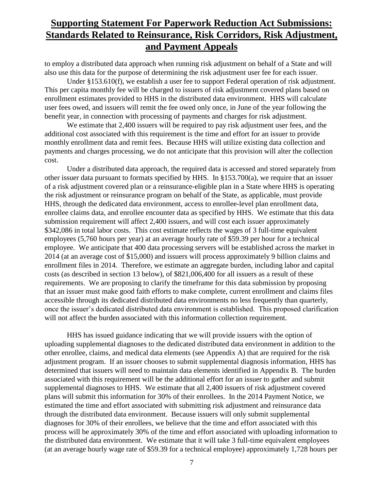to employ a distributed data approach when running risk adjustment on behalf of a State and will also use this data for the purpose of determining the risk adjustment user fee for each issuer.

Under §153.610(f), we establish a user fee to support Federal operation of risk adjustment. This per capita monthly fee will be charged to issuers of risk adjustment covered plans based on enrollment estimates provided to HHS in the distributed data environment. HHS will calculate user fees owed, and issuers will remit the fee owed only once, in June of the year following the benefit year, in connection with processing of payments and charges for risk adjustment.

We estimate that 2,400 issuers will be required to pay risk adjustment user fees, and the additional cost associated with this requirement is the time and effort for an issuer to provide monthly enrollment data and remit fees. Because HHS will utilize existing data collection and payments and charges processing, we do not anticipate that this provision will alter the collection cost.

Under a distributed data approach, the required data is accessed and stored separately from other issuer data pursuant to formats specified by HHS. In §153.700(a), we require that an issuer of a risk adjustment covered plan or a reinsurance-eligible plan in a State where HHS is operating the risk adjustment or reinsurance program on behalf of the State, as applicable, must provide HHS, through the dedicated data environment, access to enrollee-level plan enrollment data, enrollee claims data, and enrollee encounter data as specified by HHS. We estimate that this data submission requirement will affect 2,400 issuers, and will cost each issuer approximately \$342,086 in total labor costs. This cost estimate reflects the wages of 3 full-time equivalent employees (5,760 hours per year) at an average hourly rate of \$59.39 per hour for a technical employee. We anticipate that 400 data processing servers will be established across the market in 2014 (at an average cost of \$15,000) and issuers will process approximately 9 billion claims and enrollment files in 2014. Therefore, we estimate an aggregate burden, including labor and capital costs (as described in section 13 below), of \$821,006,400 for all issuers as a result of these requirements. We are proposing to clarify the timeframe for this data submission by proposing that an issuer must make good faith efforts to make complete, current enrollment and claims files accessible through its dedicated distributed data environments no less frequently than quarterly, once the issuer's dedicated distributed data environment is established. This proposed clarification will not affect the burden associated with this information collection requirement.

HHS has issued guidance indicating that we will provide issuers with the option of uploading supplemental diagnoses to the dedicated distributed data environment in addition to the other enrollee, claims, and medical data elements (see Appendix A) that are required for the risk adjustment program. If an issuer chooses to submit supplemental diagnosis information, HHS has determined that issuers will need to maintain data elements identified in Appendix B. The burden associated with this requirement will be the additional effort for an issuer to gather and submit supplemental diagnoses to HHS. We estimate that all 2,400 issuers of risk adjustment covered plans will submit this information for 30% of their enrollees. In the 2014 Payment Notice, we estimated the time and effort associated with submitting risk adjustment and reinsurance data through the distributed data environment. Because issuers will only submit supplemental diagnoses for 30% of their enrollees, we believe that the time and effort associated with this process will be approximately 30% of the time and effort associated with uploading information to the distributed data environment. We estimate that it will take 3 full-time equivalent employees (at an average hourly wage rate of \$59.39 for a technical employee) approximately 1,728 hours per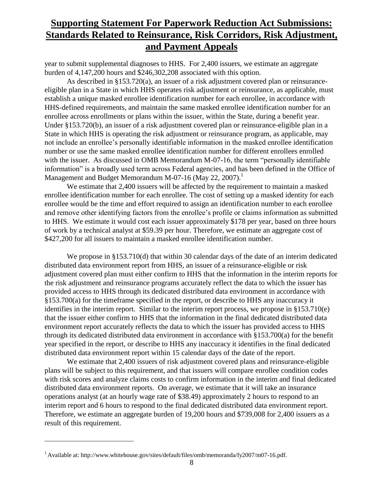year to submit supplemental diagnoses to HHS. For 2,400 issuers, we estimate an aggregate burden of 4,147,200 hours and \$246,302,208 associated with this option.

As described in §153.720(a), an issuer of a risk adjustment covered plan or reinsuranceeligible plan in a State in which HHS operates risk adjustment or reinsurance, as applicable, must establish a unique masked enrollee identification number for each enrollee, in accordance with HHS-defined requirements, and maintain the same masked enrollee identification number for an enrollee across enrollments or plans within the issuer, within the State, during a benefit year. Under §153.720(b), an issuer of a risk adjustment covered plan or reinsurance-eligible plan in a State in which HHS is operating the risk adjustment or reinsurance program, as applicable, may not include an enrollee's personally identifiable information in the masked enrollee identification number or use the same masked enrollee identification number for different enrollees enrolled with the issuer. As discussed in OMB Memorandum M-07-16, the term "personally identifiable information" is a broadly used term across Federal agencies, and has been defined in the Office of Management and Budget Memorandum M-07-16 (May 22, 2007). $^1$ 

We estimate that 2,400 issuers will be affected by the requirement to maintain a masked enrollee identification number for each enrollee. The cost of setting up a masked identity for each enrollee would be the time and effort required to assign an identification number to each enrollee and remove other identifying factors from the enrollee's profile or claims information as submitted to HHS. We estimate it would cost each issuer approximately \$178 per year, based on three hours of work by a technical analyst at \$59.39 per hour. Therefore, we estimate an aggregate cost of \$427,200 for all issuers to maintain a masked enrollee identification number.

We propose in §153.710(d) that within 30 calendar days of the date of an interim dedicated distributed data environment report from HHS, an issuer of a reinsurance-eligible or risk adjustment covered plan must either confirm to HHS that the information in the interim reports for the risk adjustment and reinsurance programs accurately reflect the data to which the issuer has provided access to HHS through its dedicated distributed data environment in accordance with §153.700(a) for the timeframe specified in the report, or describe to HHS any inaccuracy it identifies in the interim report. Similar to the interim report process, we propose in §153.710(e) that the issuer either confirm to HHS that the information in the final dedicated distributed data environment report accurately reflects the data to which the issuer has provided access to HHS through its dedicated distributed data environment in accordance with §153.700(a) for the benefit year specified in the report, or describe to HHS any inaccuracy it identifies in the final dedicated distributed data environment report within 15 calendar days of the date of the report.

We estimate that 2,400 issuers of risk adjustment covered plans and reinsurance-eligible plans will be subject to this requirement, and that issuers will compare enrollee condition codes with risk scores and analyze claims costs to confirm information in the interim and final dedicated distributed data environment reports. On average, we estimate that it will take an insurance operations analyst (at an hourly wage rate of \$38.49) approximately 2 hours to respond to an interim report and 6 hours to respond to the final dedicated distributed data environment report. Therefore, we estimate an aggregate burden of 19,200 hours and \$739,008 for 2,400 issuers as a result of this requirement.

l

<sup>&</sup>lt;sup>1</sup> Available at: http://www.whitehouse.gov/sites/default/files/omb/memoranda/fy2007/m07-16.pdf.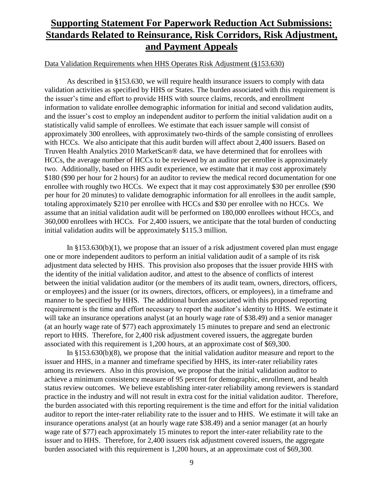#### Data Validation Requirements when HHS Operates Risk Adjustment (§153.630)

As described in §153.630, we will require health insurance issuers to comply with data validation activities as specified by HHS or States. The burden associated with this requirement is the issuer's time and effort to provide HHS with source claims, records, and enrollment information to validate enrollee demographic information for initial and second validation audits, and the issuer's cost to employ an independent auditor to perform the initial validation audit on a statistically valid sample of enrollees. We estimate that each issuer sample will consist of approximately 300 enrollees, with approximately two-thirds of the sample consisting of enrollees with HCCs. We also anticipate that this audit burden will affect about 2,400 issuers. Based on Truven Health Analytics 2010 MarketScan® data, we have determined that for enrollees with HCCs, the average number of HCCs to be reviewed by an auditor per enrollee is approximately two. Additionally, based on HHS audit experience, we estimate that it may cost approximately \$180 (\$90 per hour for 2 hours) for an auditor to review the medical record documentation for one enrollee with roughly two HCCs. We expect that it may cost approximately \$30 per enrollee (\$90 per hour for 20 minutes) to validate demographic information for all enrollees in the audit sample, totaling approximately \$210 per enrollee with HCCs and \$30 per enrollee with no HCCs. We assume that an initial validation audit will be performed on 180,000 enrollees without HCCs, and 360,000 enrollees with HCCs. For 2,400 issuers, we anticipate that the total burden of conducting initial validation audits will be approximately \$115.3 million.

In §153.630(b)(1), we propose that an issuer of a risk adjustment covered plan must engage one or more independent auditors to perform an initial validation audit of a sample of its risk adjustment data selected by HHS. This provision also proposes that the issuer provide HHS with the identity of the initial validation auditor, and attest to the absence of conflicts of interest between the initial validation auditor (or the members of its audit team, owners, directors, officers, or employees) and the issuer (or its owners, directors, officers, or employees), in a timeframe and manner to be specified by HHS. The additional burden associated with this proposed reporting requirement is the time and effort necessary to report the auditor's identity to HHS. We estimate it will take an insurance operations analyst (at an hourly wage rate of \$38.49) and a senior manager (at an hourly wage rate of \$77) each approximately 15 minutes to prepare and send an electronic report to HHS. Therefore, for 2,400 risk adjustment covered issuers, the aggregate burden associated with this requirement is 1,200 hours, at an approximate cost of \$69,300.

In §153.630(b)(8), we propose that the initial validation auditor measure and report to the issuer and HHS, in a manner and timeframe specified by HHS, its inter-rater reliability rates among its reviewers. Also in this provision, we propose that the initial validation auditor to achieve a minimum consistency measure of 95 percent for demographic, enrollment, and health status review outcomes. We believe establishing inter-rater reliability among reviewers is standard practice in the industry and will not result in extra cost for the initial validation auditor. Therefore, the burden associated with this reporting requirement is the time and effort for the initial validation auditor to report the inter-rater reliability rate to the issuer and to HHS. We estimate it will take an insurance operations analyst (at an hourly wage rate \$38.49) and a senior manager (at an hourly wage rate of \$77) each approximately 15 minutes to report the inter-rater reliability rate to the issuer and to HHS. Therefore, for 2,400 issuers risk adjustment covered issuers, the aggregate burden associated with this requirement is 1,200 hours, at an approximate cost of \$69,300.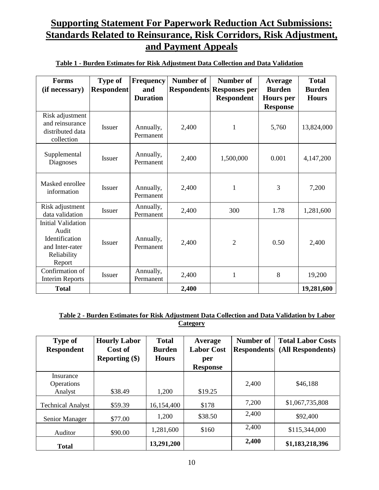| Forms<br>(if necessary)                                                                          | <b>Type of</b><br><b>Respondent</b> | <b>Frequency</b><br>and<br><b>Duration</b> | <b>Number of</b> | Number of<br><b>Respondents Responses per</b><br><b>Respondent</b> | Average<br><b>Burden</b><br><b>Hours</b> per<br><b>Response</b> | <b>Total</b><br><b>Burden</b><br><b>Hours</b> |
|--------------------------------------------------------------------------------------------------|-------------------------------------|--------------------------------------------|------------------|--------------------------------------------------------------------|-----------------------------------------------------------------|-----------------------------------------------|
| Risk adjustment<br>and reinsurance<br>distributed data<br>collection                             | <b>Issuer</b>                       | Annually,<br>Permanent                     | 2,400            | 1                                                                  | 5,760                                                           | 13,824,000                                    |
| Supplemental<br><b>Diagnoses</b>                                                                 | <b>Issuer</b>                       | Annually,<br>Permanent                     | 2,400            | 1,500,000                                                          | 0.001                                                           | 4,147,200                                     |
| Masked enrollee<br>information                                                                   | <b>Issuer</b>                       | Annually,<br>Permanent                     | 2,400            | 1                                                                  | 3                                                               | 7,200                                         |
| Risk adjustment<br>data validation                                                               | <b>Issuer</b>                       | Annually,<br>Permanent                     | 2,400            | 300                                                                | 1.78                                                            | 1,281,600                                     |
| <b>Initial Validation</b><br>Audit<br>Identification<br>and Inter-rater<br>Reliability<br>Report | <b>Issuer</b>                       | Annually,<br>Permanent                     | 2,400            | $\overline{2}$                                                     | 0.50                                                            | 2,400                                         |
| Confirmation of<br><b>Interim Reports</b>                                                        | <b>Issuer</b>                       | Annually,<br>Permanent                     | 2,400            | $\mathbf{1}$                                                       | 8                                                               | 19,200                                        |
| <b>Total</b>                                                                                     |                                     |                                            | 2,400            |                                                                    |                                                                 | 19,281,600                                    |

**Table 1 - Burden Estimates for Risk Adjustment Data Collection and Data Validation**

### **Table 2 - Burden Estimates for Risk Adjustment Data Collection and Data Validation by Labor Category**

| <b>Type of</b>           | <b>Hourly Labor</b> | <b>Total</b>  | Average           | Number of          | <b>Total Labor Costs</b> |
|--------------------------|---------------------|---------------|-------------------|--------------------|--------------------------|
| <b>Respondent</b>        | Cost of             | <b>Burden</b> | <b>Labor Cost</b> | <b>Respondents</b> | (All Respondents)        |
|                          | Reporting $(\$)$    | <b>Hours</b>  | per               |                    |                          |
|                          |                     |               | <b>Response</b>   |                    |                          |
| Insurance                |                     |               |                   |                    |                          |
| <b>Operations</b>        |                     |               |                   | 2,400              | \$46,188                 |
| Analyst                  | \$38.49             | 1,200         | \$19.25           |                    |                          |
| <b>Technical Analyst</b> | \$59.39             | 16,154,400    | \$178             | 7,200              | \$1,067,735,808          |
| Senior Manager           | \$77.00             | 1,200         | \$38.50           | 2,400              | \$92,400                 |
| Auditor                  | \$90.00             | 1,281,600     | \$160             | 2,400              | \$115,344,000            |
| <b>Total</b>             |                     | 13,291,200    |                   | 2,400              | \$1,183,218,396          |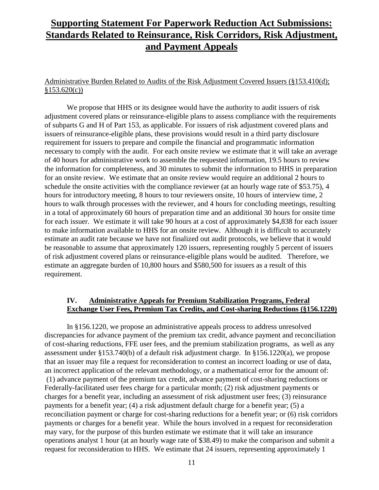#### Administrative Burden Related to Audits of the Risk Adjustment Covered Issuers (§153.410(d);  $$153.620(c)$

We propose that HHS or its designee would have the authority to audit issuers of risk adjustment covered plans or reinsurance-eligible plans to assess compliance with the requirements of subparts G and H of Part 153, as applicable. For issuers of risk adjustment covered plans and issuers of reinsurance-eligible plans, these provisions would result in a third party disclosure requirement for issuers to prepare and compile the financial and programmatic information necessary to comply with the audit. For each onsite review we estimate that it will take an average of 40 hours for administrative work to assemble the requested information, 19.5 hours to review the information for completeness, and 30 minutes to submit the information to HHS in preparation for an onsite review. We estimate that an onsite review would require an additional 2 hours to schedule the onsite activities with the compliance reviewer (at an hourly wage rate of \$53.75), 4 hours for introductory meeting, 8 hours to tour reviewers onsite, 10 hours of interview time, 2 hours to walk through processes with the reviewer, and 4 hours for concluding meetings, resulting in a total of approximately 60 hours of preparation time and an additional 30 hours for onsite time for each issuer. We estimate it will take 90 hours at a cost of approximately \$4,838 for each issuer to make information available to HHS for an onsite review. Although it is difficult to accurately estimate an audit rate because we have not finalized out audit protocols, we believe that it would be reasonable to assume that approximately 120 issuers, representing roughly 5 percent of issuers of risk adjustment covered plans or reinsurance-eligible plans would be audited. Therefore, we estimate an aggregate burden of 10,800 hours and \$580,500 for issuers as a result of this requirement.

#### **IV. Administrative Appeals for Premium Stabilization Programs, Federal Exchange User Fees, Premium Tax Credits, and Cost-sharing Reductions (§156.1220)**

In §156.1220, we propose an administrative appeals process to address unresolved discrepancies for advance payment of the premium tax credit, advance payment and reconciliation of cost-sharing reductions, FFE user fees, and the premium stabilization programs, as well as any assessment under §153.740(b) of a default risk adjustment charge. In §156.1220(a), we propose that an issuer may file a request for reconsideration to contest an incorrect loading or use of data, an incorrect application of the relevant methodology, or a mathematical error for the amount of: (1) advance payment of the premium tax credit, advance payment of cost-sharing reductions or Federally-facilitated user fees charge for a particular month; (2) risk adjustment payments or charges for a benefit year, including an assessment of risk adjustment user fees; (3) reinsurance payments for a benefit year; (4) a risk adjustment default charge for a benefit year; (5) a reconciliation payment or charge for cost-sharing reductions for a benefit year; or (6) risk corridors payments or charges for a benefit year. While the hours involved in a request for reconsideration may vary, for the purpose of this burden estimate we estimate that it will take an insurance operations analyst 1 hour (at an hourly wage rate of \$38.49) to make the comparison and submit a request for reconsideration to HHS. We estimate that 24 issuers, representing approximately 1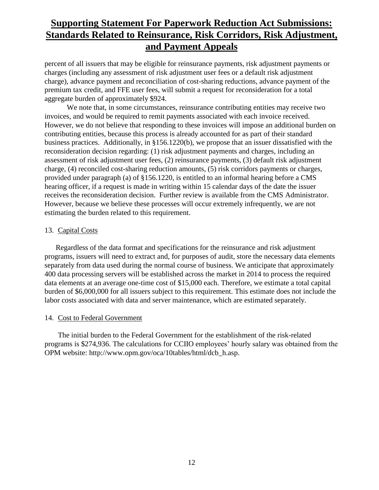percent of all issuers that may be eligible for reinsurance payments, risk adjustment payments or charges (including any assessment of risk adjustment user fees or a default risk adjustment charge), advance payment and reconciliation of cost-sharing reductions, advance payment of the premium tax credit, and FFE user fees, will submit a request for reconsideration for a total aggregate burden of approximately \$924.

We note that, in some circumstances, reinsurance contributing entities may receive two invoices, and would be required to remit payments associated with each invoice received. However, we do not believe that responding to these invoices will impose an additional burden on contributing entities, because this process is already accounted for as part of their standard business practices. Additionally, in §156.1220(b), we propose that an issuer dissatisfied with the reconsideration decision regarding: (1) risk adjustment payments and charges, including an assessment of risk adjustment user fees, (2) reinsurance payments, (3) default risk adjustment charge, (4) reconciled cost-sharing reduction amounts, (5) risk corridors payments or charges, provided under paragraph (a) of §156.1220, is entitled to an informal hearing before a CMS hearing officer, if a request is made in writing within 15 calendar days of the date the issuer receives the reconsideration decision. Further review is available from the CMS Administrator. However, because we believe these processes will occur extremely infrequently, we are not estimating the burden related to this requirement.

#### 13. Capital Costs

Regardless of the data format and specifications for the reinsurance and risk adjustment programs, issuers will need to extract and, for purposes of audit, store the necessary data elements separately from data used during the normal course of business. We anticipate that approximately 400 data processing servers will be established across the market in 2014 to process the required data elements at an average one-time cost of \$15,000 each. Therefore, we estimate a total capital burden of \$6,000,000 for all issuers subject to this requirement. This estimate does not include the labor costs associated with data and server maintenance, which are estimated separately.

#### 14. Cost to Federal Government

The initial burden to the Federal Government for the establishment of the risk-related programs is \$274,936. The calculations for CCIIO employees' hourly salary was obtained from the OPM website: http://www.opm.gov/oca/10tables/html/dcb\_h.asp.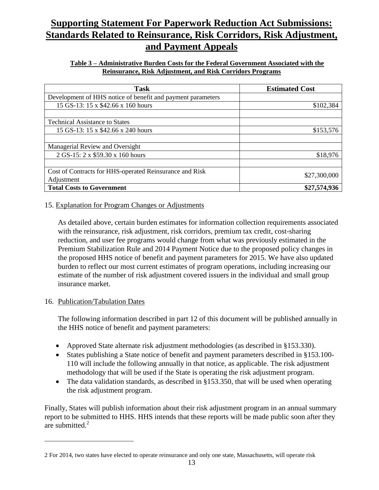#### **Table 3 – Administrative Burden Costs for the Federal Government Associated with the Reinsurance, Risk Adjustment, and Risk Corridors Programs**

| <b>Task</b>                                                 | <b>Estimated Cost</b> |
|-------------------------------------------------------------|-----------------------|
| Development of HHS notice of benefit and payment parameters |                       |
| 15 GS-13: 15 x \$42.66 x 160 hours                          | \$102,384             |
|                                                             |                       |
| <b>Technical Assistance to States</b>                       |                       |
| 15 GS-13: 15 x \$42.66 x 240 hours                          | \$153,576             |
|                                                             |                       |
| Managerial Review and Oversight                             |                       |
| 2 GS-15: 2 x \$59.30 x 160 hours                            | \$18,976              |
|                                                             |                       |
| Cost of Contracts for HHS-operated Reinsurance and Risk     | \$27,300,000          |
| Adjustment                                                  |                       |
| <b>Total Costs to Government</b>                            | \$27,574,936          |

#### 15. Explanation for Program Changes or Adjustments

As detailed above, certain burden estimates for information collection requirements associated with the reinsurance, risk adjustment, risk corridors, premium tax credit, cost-sharing reduction, and user fee programs would change from what was previously estimated in the Premium Stabilization Rule and 2014 Payment Notice due to the proposed policy changes in the proposed HHS notice of benefit and payment parameters for 2015. We have also updated burden to reflect our most current estimates of program operations, including increasing our estimate of the number of risk adjustment covered issuers in the individual and small group insurance market.

#### 16. Publication/Tabulation Dates

l

The following information described in part 12 of this document will be published annually in the HHS notice of benefit and payment parameters:

- Approved State alternate risk adjustment methodologies (as described in §153.330).
- States publishing a State notice of benefit and payment parameters described in §153.100- 110 will include the following annually in that notice, as applicable. The risk adjustment methodology that will be used if the State is operating the risk adjustment program.
- The data validation standards, as described in §153.350, that will be used when operating the risk adjustment program.

Finally, States will publish information about their risk adjustment program in an annual summary report to be submitted to HHS. HHS intends that these reports will be made public soon after they are submitted.<sup>2</sup>

<sup>2</sup> For 2014, two states have elected to operate reinsurance and only one state, Massachusetts, will operate risk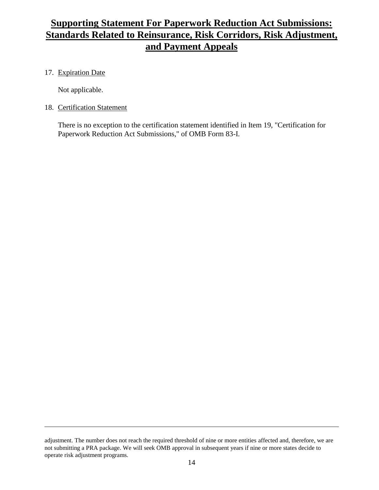### 17. Expiration Date

 $\overline{a}$ 

Not applicable.

#### 18. Certification Statement

There is no exception to the certification statement identified in Item 19, "Certification for Paperwork Reduction Act Submissions," of OMB Form 83-I.

adjustment. The number does not reach the required threshold of nine or more entities affected and, therefore, we are not submitting a PRA package. We will seek OMB approval in subsequent years if nine or more states decide to operate risk adjustment programs.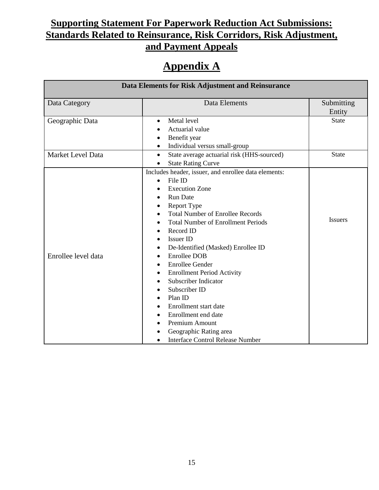# **Appendix A**

| Data Elements for Risk Adjustment and Reinsurance |                                                         |                |  |
|---------------------------------------------------|---------------------------------------------------------|----------------|--|
| Data Category                                     | Data Elements                                           | Submitting     |  |
|                                                   |                                                         | Entity         |  |
| Geographic Data                                   | Metal level<br>$\bullet$                                | <b>State</b>   |  |
|                                                   | Actuarial value                                         |                |  |
|                                                   | Benefit year                                            |                |  |
|                                                   | Individual versus small-group                           |                |  |
| Market Level Data                                 | State average actuarial risk (HHS-sourced)<br>$\bullet$ | <b>State</b>   |  |
|                                                   | <b>State Rating Curve</b><br>$\bullet$                  |                |  |
|                                                   | Includes header, issuer, and enrollee data elements:    |                |  |
|                                                   | File ID<br>$\bullet$                                    |                |  |
|                                                   | <b>Execution Zone</b>                                   |                |  |
|                                                   | <b>Run Date</b>                                         |                |  |
|                                                   | Report Type                                             |                |  |
|                                                   | <b>Total Number of Enrollee Records</b>                 |                |  |
|                                                   | <b>Total Number of Enrollment Periods</b>               | <b>Issuers</b> |  |
|                                                   | Record ID                                               |                |  |
|                                                   | <b>Issuer ID</b>                                        |                |  |
|                                                   | De-Identified (Masked) Enrollee ID                      |                |  |
| Enrollee level data                               | <b>Enrollee DOB</b>                                     |                |  |
|                                                   | <b>Enrollee Gender</b>                                  |                |  |
|                                                   | <b>Enrollment Period Activity</b>                       |                |  |
|                                                   | Subscriber Indicator                                    |                |  |
|                                                   | Subscriber ID                                           |                |  |
|                                                   | Plan ID                                                 |                |  |
|                                                   | Enrollment start date                                   |                |  |
|                                                   | Enrollment end date                                     |                |  |
|                                                   | Premium Amount                                          |                |  |
|                                                   | Geographic Rating area                                  |                |  |
|                                                   | <b>Interface Control Release Number</b>                 |                |  |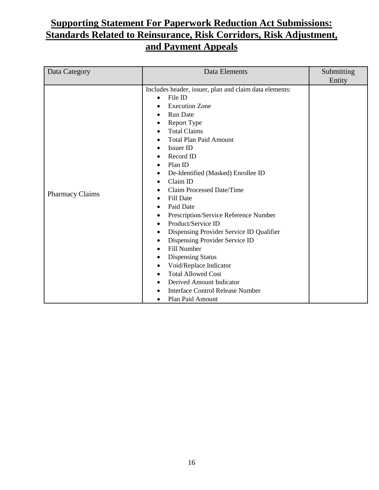| Data Category          | Data Elements                                                                                                                                                                                                                                                                                                                                                                                                                                                                                                                                                                                                                                                                                                                                                                  | Submitting |
|------------------------|--------------------------------------------------------------------------------------------------------------------------------------------------------------------------------------------------------------------------------------------------------------------------------------------------------------------------------------------------------------------------------------------------------------------------------------------------------------------------------------------------------------------------------------------------------------------------------------------------------------------------------------------------------------------------------------------------------------------------------------------------------------------------------|------------|
|                        |                                                                                                                                                                                                                                                                                                                                                                                                                                                                                                                                                                                                                                                                                                                                                                                | Entity     |
| <b>Pharmacy Claims</b> | Includes header, issuer, plan and claim data elements:<br>File ID<br>$\bullet$<br><b>Execution Zone</b><br><b>Run Date</b><br><b>Report Type</b><br><b>Total Claims</b><br><b>Total Plan Paid Amount</b><br>Issuer ID<br>Record ID<br>Plan ID<br>De-Identified (Masked) Enrollee ID<br>٠<br>Claim ID<br>Claim Processed Date/Time<br><b>Fill Date</b><br>٠<br>Paid Date<br>Prescription/Service Reference Number<br>Product/Service ID<br>Dispensing Provider Service ID Qualifier<br>٠<br>Dispensing Provider Service ID<br>$\bullet$<br><b>Fill Number</b><br>$\bullet$<br><b>Dispensing Status</b><br>٠<br>Void/Replace Indicator<br>$\bullet$<br><b>Total Allowed Cost</b><br>٠<br>Derived Amount Indicator<br><b>Interface Control Release Number</b><br>Plan Paid Amount |            |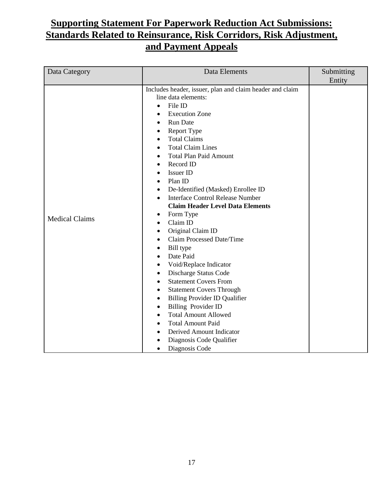| Data Category         | Data Elements                                                                                                                                                                                                                                                                                                                                                                                                                                                                                                                                                                                                                                                                                                                                                                                                                                                                                                                                                                                                                                                                                             | Submitting<br>Entity |
|-----------------------|-----------------------------------------------------------------------------------------------------------------------------------------------------------------------------------------------------------------------------------------------------------------------------------------------------------------------------------------------------------------------------------------------------------------------------------------------------------------------------------------------------------------------------------------------------------------------------------------------------------------------------------------------------------------------------------------------------------------------------------------------------------------------------------------------------------------------------------------------------------------------------------------------------------------------------------------------------------------------------------------------------------------------------------------------------------------------------------------------------------|----------------------|
| <b>Medical Claims</b> | Includes header, issuer, plan and claim header and claim<br>line data elements:<br>File ID<br>$\bullet$<br><b>Execution Zone</b><br><b>Run Date</b><br>$\bullet$<br>Report Type<br>$\bullet$<br><b>Total Claims</b><br><b>Total Claim Lines</b><br><b>Total Plan Paid Amount</b><br>Record ID<br>$\bullet$<br>Issuer ID<br>$\bullet$<br>Plan ID<br>$\bullet$<br>De-Identified (Masked) Enrollee ID<br>$\bullet$<br><b>Interface Control Release Number</b><br>$\bullet$<br><b>Claim Header Level Data Elements</b><br>Form Type<br>٠<br>Claim ID<br>$\bullet$<br>Original Claim ID<br>$\bullet$<br>Claim Processed Date/Time<br>$\bullet$<br><b>Bill</b> type<br>$\bullet$<br>Date Paid<br>$\bullet$<br>Void/Replace Indicator<br>$\bullet$<br>Discharge Status Code<br>$\bullet$<br><b>Statement Covers From</b><br>$\bullet$<br><b>Statement Covers Through</b><br>٠<br><b>Billing Provider ID Qualifier</b><br>٠<br>Billing Provider ID<br>$\bullet$<br><b>Total Amount Allowed</b><br>$\bullet$<br><b>Total Amount Paid</b><br>Derived Amount Indicator<br>Diagnosis Code Qualifier<br>Diagnosis Code |                      |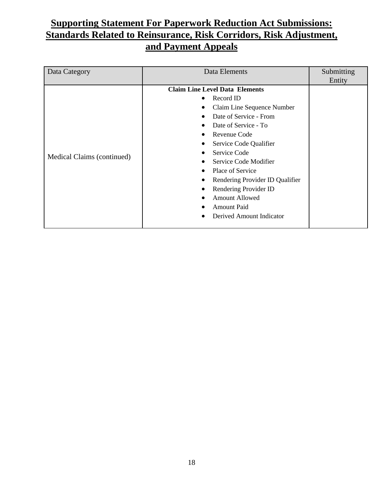| Data Category              | Data Elements                                                                                                                                                                                                                                                                                                                                                                    | Submitting |
|----------------------------|----------------------------------------------------------------------------------------------------------------------------------------------------------------------------------------------------------------------------------------------------------------------------------------------------------------------------------------------------------------------------------|------------|
| Medical Claims (continued) | <b>Claim Line Level Data Elements</b><br>Record ID<br>Claim Line Sequence Number<br>Date of Service - From<br>Date of Service - To<br>Revenue Code<br>Service Code Qualifier<br>Service Code<br>Service Code Modifier<br>Place of Service<br>Rendering Provider ID Qualifier<br>Rendering Provider ID<br><b>Amount Allowed</b><br><b>Amount Paid</b><br>Derived Amount Indicator | Entity     |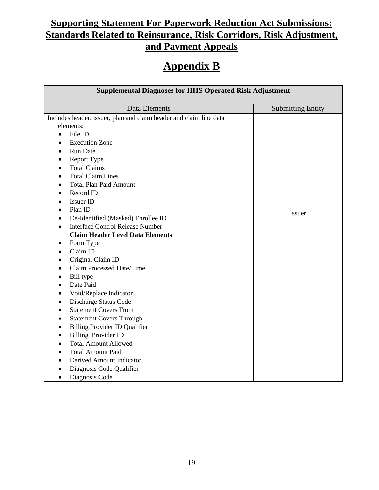# **Appendix B**

| <b>Supplemental Diagnoses for HHS Operated Risk Adjustment</b>     |                          |  |  |
|--------------------------------------------------------------------|--------------------------|--|--|
| Data Elements                                                      | <b>Submitting Entity</b> |  |  |
| Includes header, issuer, plan and claim header and claim line data |                          |  |  |
| elements:                                                          |                          |  |  |
| File ID                                                            |                          |  |  |
| <b>Execution Zone</b>                                              |                          |  |  |
| <b>Run Date</b><br>$\bullet$                                       |                          |  |  |
| Report Type                                                        |                          |  |  |
| <b>Total Claims</b>                                                |                          |  |  |
| <b>Total Claim Lines</b>                                           |                          |  |  |
| <b>Total Plan Paid Amount</b>                                      |                          |  |  |
| Record ID                                                          |                          |  |  |
| Issuer ID<br>$\bullet$                                             |                          |  |  |
| Plan ID                                                            | Issuer                   |  |  |
| De-Identified (Masked) Enrollee ID<br>$\bullet$                    |                          |  |  |
| <b>Interface Control Release Number</b>                            |                          |  |  |
| <b>Claim Header Level Data Elements</b>                            |                          |  |  |
| Form Type                                                          |                          |  |  |
| Claim ID                                                           |                          |  |  |
| Original Claim ID<br>٠                                             |                          |  |  |
| Claim Processed Date/Time                                          |                          |  |  |
| <b>Bill</b> type                                                   |                          |  |  |
| Date Paid                                                          |                          |  |  |
| Void/Replace Indicator<br>$\bullet$                                |                          |  |  |
| Discharge Status Code<br>$\bullet$                                 |                          |  |  |
| <b>Statement Covers From</b>                                       |                          |  |  |
| <b>Statement Covers Through</b>                                    |                          |  |  |
| <b>Billing Provider ID Qualifier</b><br>$\bullet$                  |                          |  |  |
| Billing Provider ID                                                |                          |  |  |
| <b>Total Amount Allowed</b>                                        |                          |  |  |
| <b>Total Amount Paid</b>                                           |                          |  |  |
| Derived Amount Indicator                                           |                          |  |  |
| Diagnosis Code Qualifier                                           |                          |  |  |
| Diagnosis Code<br>$\bullet$                                        |                          |  |  |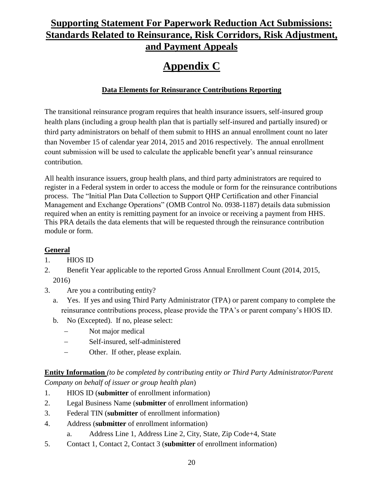# **Appendix C**

### **Data Elements for Reinsurance Contributions Reporting**

The transitional reinsurance program requires that health insurance issuers, self-insured group health plans (including a group health plan that is partially self-insured and partially insured) or third party administrators on behalf of them submit to HHS an annual enrollment count no later than November 15 of calendar year 2014, 2015 and 2016 respectively. The annual enrollment count submission will be used to calculate the applicable benefit year's annual reinsurance contribution.

All health insurance issuers, group health plans, and third party administrators are required to register in a Federal system in order to access the module or form for the reinsurance contributions process. The "Initial Plan Data Collection to Support QHP Certification and other Financial Management and Exchange Operations" (OMB Control No. 0938-1187) details data submission required when an entity is remitting payment for an invoice or receiving a payment from HHS. This PRA details the data elements that will be requested through the reinsurance contribution module or form.

### **General**

- 1. HIOS ID
- 2. Benefit Year applicable to the reported Gross Annual Enrollment Count (2014, 2015, 2016)
- 3. Are you a contributing entity?
	- a. Yes. If yes and using Third Party Administrator (TPA) or parent company to complete the reinsurance contributions process, please provide the TPA's or parent company's HIOS ID.
	- b. No (Excepted). If no, please select:
		- Not major medical
		- Self-insured, self-administered
		- Other. If other, please explain.

**Entity Information** *(to be completed by contributing entity or Third Party Administrator/Parent Company on behalf of issuer or group health plan*)

- 1. HIOS ID (**submitter** of enrollment information)
- 2. Legal Business Name (**submitter** of enrollment information)
- 3. Federal TIN (**submitter** of enrollment information)
- 4. Address (**submitter** of enrollment information)
	- a. Address Line 1, Address Line 2, City, State, Zip Code+4, State
- 5. Contact 1, Contact 2, Contact 3 (**submitter** of enrollment information)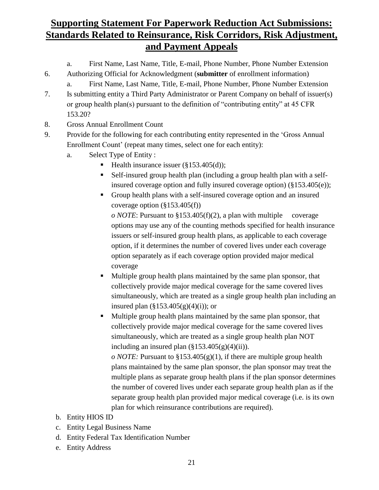- a. First Name, Last Name, Title, E-mail, Phone Number, Phone Number Extension
- 6. Authorizing Official for Acknowledgment (**submitter** of enrollment information)
	- a. First Name, Last Name, Title, E-mail, Phone Number, Phone Number Extension
- 7. Is submitting entity a Third Party Administrator or Parent Company on behalf of issuer(s) or group health plan(s) pursuant to the definition of "contributing entity" at 45 CFR 153.20?
- 8. Gross Annual Enrollment Count
- 9. Provide for the following for each contributing entity represented in the 'Gross Annual Enrollment Count' (repeat many times, select one for each entity):
	- a. Select Type of Entity :
		- Health insurance issuer  $(\S 153.405(d))$ ;
		- Self-insured group health plan (including a group health plan with a selfinsured coverage option and fully insured coverage option) (§153.405(e));
		- Group health plans with a self-insured coverage option and an insured coverage option (§153.405(f))

 $\overline{\rho}$  *NOTE*: Pursuant to §153.405(f)(2), a plan with multiple coverage options may use any of the counting methods specified for health insurance issuers or self-insured group health plans, as applicable to each coverage option, if it determines the number of covered lives under each coverage option separately as if each coverage option provided major medical coverage

- Multiple group health plans maintained by the same plan sponsor, that collectively provide major medical coverage for the same covered lives simultaneously, which are treated as a single group health plan including an insured plan  $(\S 153.405(g)(4)(i))$ ; or
- Multiple group health plans maintained by the same plan sponsor, that collectively provide major medical coverage for the same covered lives simultaneously, which are treated as a single group health plan NOT including an insured plan  $(\S 153.405(g)(4)(ii))$ .

*o NOTE:* Pursuant to §153.405(g)(1), if there are multiple group health plans maintained by the same plan sponsor, the plan sponsor may treat the multiple plans as separate group health plans if the plan sponsor determines the number of covered lives under each separate group health plan as if the separate group health plan provided major medical coverage (i.e. is its own plan for which reinsurance contributions are required).

- b. Entity HIOS ID
- c. Entity Legal Business Name
- d. Entity Federal Tax Identification Number
- e. Entity Address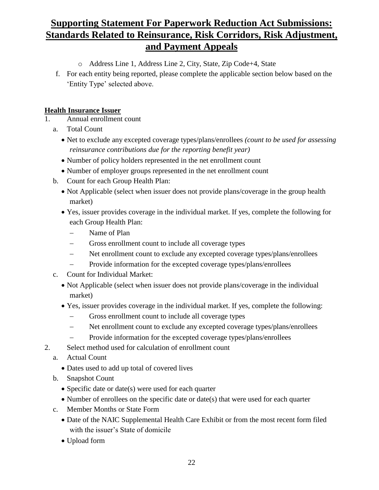- o Address Line 1, Address Line 2, City, State, Zip Code+4, State
- f. For each entity being reported, please complete the applicable section below based on the 'Entity Type' selected above.

### **Health Insurance Issuer**

- 1. Annual enrollment count
	- a. Total Count
		- Net to exclude any excepted coverage types/plans/enrollees *(count to be used for assessing reinsurance contributions due for the reporting benefit year)*
		- Number of policy holders represented in the net enrollment count
		- Number of employer groups represented in the net enrollment count
	- b. Count for each Group Health Plan:
		- Not Applicable (select when issuer does not provide plans/coverage in the group health market)
		- Yes, issuer provides coverage in the individual market. If yes, complete the following for each Group Health Plan:
			- Name of Plan
			- Gross enrollment count to include all coverage types
			- Net enrollment count to exclude any excepted coverage types/plans/enrollees
			- Provide information for the excepted coverage types/plans/enrollees
	- c. Count for Individual Market:
		- Not Applicable (select when issuer does not provide plans/coverage in the individual market)
		- Yes, issuer provides coverage in the individual market. If yes, complete the following:
			- Gross enrollment count to include all coverage types
			- Net enrollment count to exclude any excepted coverage types/plans/enrollees
			- Provide information for the excepted coverage types/plans/enrollees
- 2. Select method used for calculation of enrollment count
	- a. Actual Count
		- Dates used to add up total of covered lives
	- b. Snapshot Count
		- Specific date or date(s) were used for each quarter
		- Number of enrollees on the specific date or date(s) that were used for each quarter
	- c. Member Months or State Form
		- Date of the NAIC Supplemental Health Care Exhibit or from the most recent form filed with the issuer's State of domicile
		- Upload form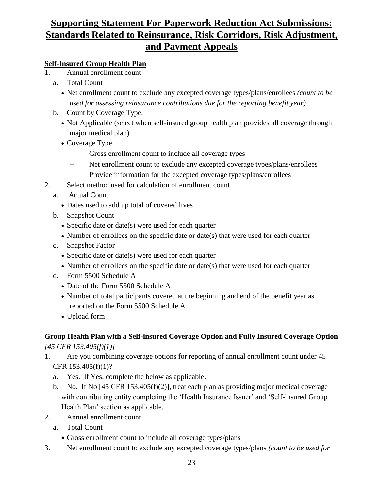### **Self-Insured Group Health Plan**

- 1. Annual enrollment count
	- a. Total Count
		- Net enrollment count to exclude any excepted coverage types/plans/enrollees *(count to be used for assessing reinsurance contributions due for the reporting benefit year)*
	- b. Count by Coverage Type:
		- Not Applicable (select when self-insured group health plan provides all coverage through major medical plan)
		- Coverage Type
			- Gross enrollment count to include all coverage types
			- Net enrollment count to exclude any excepted coverage types/plans/enrollees
			- Provide information for the excepted coverage types/plans/enrollees
- 2. Select method used for calculation of enrollment count
	- a. Actual Count
		- Dates used to add up total of covered lives
	- b. Snapshot Count
		- Specific date or date(s) were used for each quarter
		- Number of enrollees on the specific date or date(s) that were used for each quarter
	- c. Snapshot Factor
		- Specific date or date(s) were used for each quarter
		- Number of enrollees on the specific date or date(s) that were used for each quarter
	- d. Form 5500 Schedule A
		- Date of the Form 5500 Schedule A
		- Number of total participants covered at the beginning and end of the benefit year as reported on the Form 5500 Schedule A
		- Upload form

# **Group Health Plan with a Self-insured Coverage Option and Fully Insured Coverage Option**

*[45 CFR 153.405(f)(1)]*

- 1. Are you combining coverage options for reporting of annual enrollment count under 45 CFR 153.405(f)(1)?
	- a. Yes. If Yes, complete the below as applicable.
	- b. No. If No [45 CFR 153.405(f)(2)], treat each plan as providing major medical coverage with contributing entity completing the 'Health Insurance Issuer' and 'Self-insured Group Health Plan' section as applicable.
- 2. Annual enrollment count
	- a. Total Count
		- Gross enrollment count to include all coverage types/plans
- 3. Net enrollment count to exclude any excepted coverage types/plans *(count to be used for*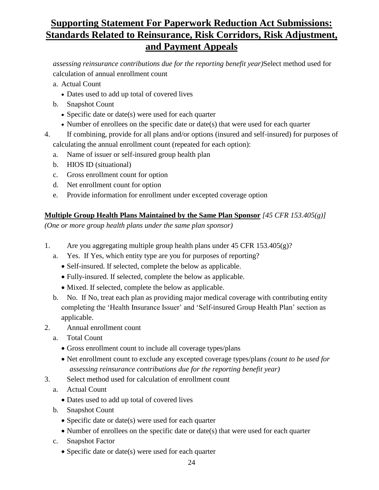*assessing reinsurance contributions due for the reporting benefit year)*Select method used for calculation of annual enrollment count

- a. Actual Count
	- Dates used to add up total of covered lives
- b. Snapshot Count
	- Specific date or date(s) were used for each quarter
	- Number of enrollees on the specific date or date(s) that were used for each quarter
- 4. If combining, provide for all plans and/or options (insured and self-insured) for purposes of calculating the annual enrollment count (repeated for each option):
	- a. Name of issuer or self-insured group health plan
	- b. HIOS ID (situational)
	- c. Gross enrollment count for option
	- d. Net enrollment count for option
	- e. Provide information for enrollment under excepted coverage option

### **Multiple Group Health Plans Maintained by the Same Plan Sponsor** *[45 CFR 153.405(g)]*

*(One or more group health plans under the same plan sponsor)*

- 1. Are you aggregating multiple group health plans under 45 CFR 153.405(g)?
	- a. Yes. If Yes, which entity type are you for purposes of reporting?
		- Self-insured. If selected, complete the below as applicable.
		- Fully-insured. If selected, complete the below as applicable.
		- Mixed. If selected, complete the below as applicable.
	- b. No. If No, treat each plan as providing major medical coverage with contributing entity completing the 'Health Insurance Issuer' and 'Self-insured Group Health Plan' section as applicable.
- 2. Annual enrollment count
	- a. Total Count
		- Gross enrollment count to include all coverage types/plans
		- Net enrollment count to exclude any excepted coverage types/plans *(count to be used for assessing reinsurance contributions due for the reporting benefit year)*
- 3. Select method used for calculation of enrollment count
	- a. Actual Count
		- Dates used to add up total of covered lives
	- b. Snapshot Count
		- Specific date or date(s) were used for each quarter
		- Number of enrollees on the specific date or date(s) that were used for each quarter
	- c. Snapshot Factor
		- Specific date or date(s) were used for each quarter